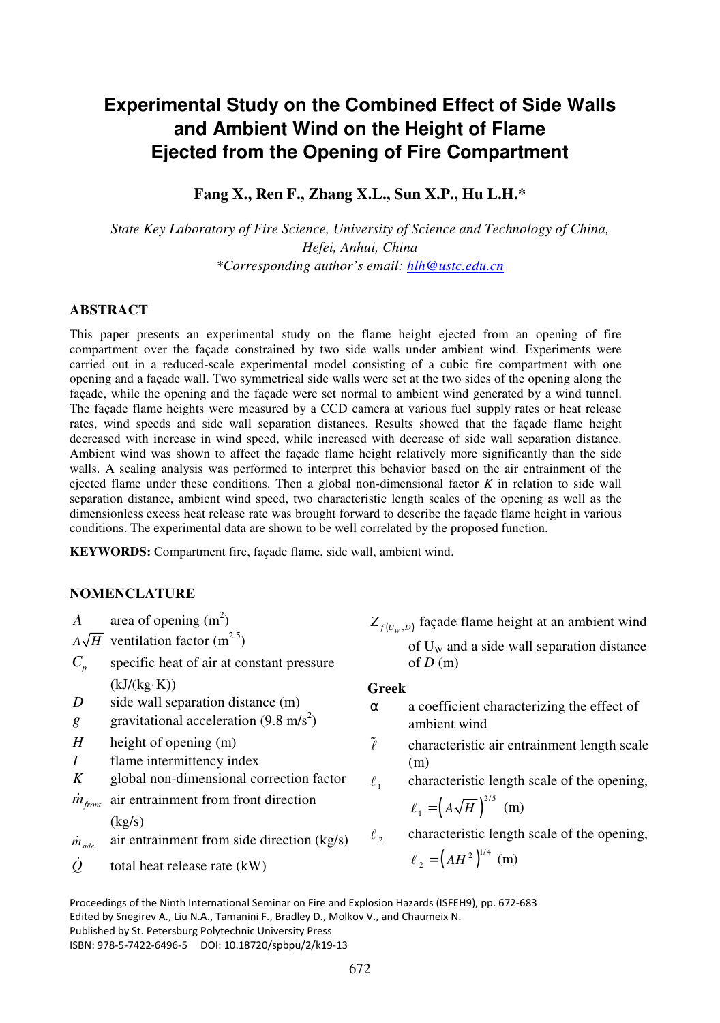# **Experimental Study on the Combined Effect of Side Walls and Ambient Wind on the Height of Flame Ejected from the Opening of Fire Compartment**

# **Fang X., Ren F., Zhang X.L., Sun X.P., Hu L.H.\***

*State Key Laboratory of Fire Science, University of Science and Technology of China, Hefei, Anhui, China \*Corresponding author's email: hlh@ustc.edu.cn* 

## **ABSTRACT**

This paper presents an experimental study on the flame height ejected from an opening of fire compartment over the façade constrained by two side walls under ambient wind. Experiments were carried out in a reduced-scale experimental model consisting of a cubic fire compartment with one opening and a façade wall. Two symmetrical side walls were set at the two sides of the opening along the façade, while the opening and the façade were set normal to ambient wind generated by a wind tunnel. The façade flame heights were measured by a CCD camera at various fuel supply rates or heat release rates, wind speeds and side wall separation distances. Results showed that the façade flame height decreased with increase in wind speed, while increased with decrease of side wall separation distance. Ambient wind was shown to affect the façade flame height relatively more significantly than the side walls. A scaling analysis was performed to interpret this behavior based on the air entrainment of the ejected flame under these conditions. Then a global non-dimensional factor *K* in relation to side wall separation distance, ambient wind speed, two characteristic length scales of the opening as well as the dimensionless excess heat release rate was brought forward to describe the façade flame height in various conditions. The experimental data are shown to be well correlated by the proposed function.

**KEYWORDS:** Compartment fire, façade flame, side wall, ambient wind.

# **NOMENCLATURE**

*A* area of opening  $(m^2)$ 

- $A\sqrt{H}$  ventilation factor (m<sup>2.5</sup>)
- $C_p$  specific heat of air at constant pressure  $(kJ/(kg·K))$
- *D* side wall separation distance (m)
- *g* gravitational acceleration  $(9.8 \text{ m/s}^2)$
- *H* height of opening (m)
- *I* flame intermittency index
- *K* global non-dimensional correction factor
- $\dot{m}_{front}$  air entrainment from front direction

 $(kg/s)$ 

$$
\dot{m}_{side}
$$
 air entrainment from side direction (kg/s)

 $\ddot{\theta}$ total heat release rate (kW)  $Z_{f(U_w,D)}$  façade flame height at an ambient wind

of  $U_w$  and a side wall separation distance of  $D(m)$ 

## **Greek**

- $\alpha$  a coefficient characterizing the effect of ambient wind
- $\tilde{l}$  characteristic air entrainment length scale (m)
- $\ell_{1}$ characteristic length scale of the opening,

$$
\ell_1 = \left(A\sqrt{H}\right)^{2/5} \text{ (m)}
$$

 $\ell$ , characteristic length scale of the opening,

 $\ell_2 = \left(AH^2\right)^{1/4}$  (m)

Proceedings of the Ninth International Seminar on Fire and Explosion Hazards (ISFEH9), pp. 672-683 Edited by Snegirev A., Liu N.A., Tamanini F., Bradley D., Molkov V., and Chaumeix N. Published by St. Petersburg Polytechnic University Press ISBN: 978-5-7422-6496-5 DOI: 10.18720/spbpu/2/k19-13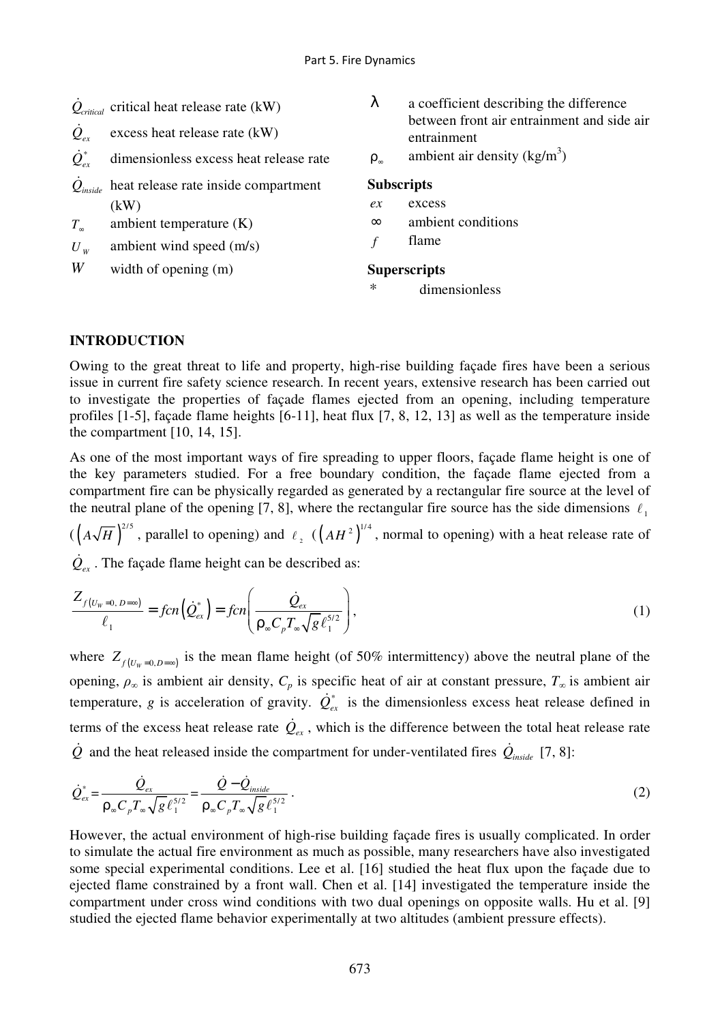| $Q_{critical}$ critical heat release rate (kW) |
|------------------------------------------------|
|------------------------------------------------|

 $\dot{Q}_{ex}$ excess heat release rate (kW)

 $\dot{Q}^*_{ex}$ dimensionless excess heat release rate

- $\dot{\mathcal{Q}}_{\mathit{inside}}$  heat release rate inside compartment  $(kW)$
- *T*∞ ambient temperature (K)
- *U <sup>W</sup>* ambient wind speed (m/s)

*W* width of opening (m)

- $\lambda$  a coefficient describing the difference between front air entrainment and side air entrainment
- ρ∞ ambient air density  $(kg/m<sup>3</sup>)$

# **Subscripts**

- *ex* excess
- ∞ ambient conditions
- *f* flame

## **Superscripts**

dimensionless

# **INTRODUCTION**

Owing to the great threat to life and property, high-rise building façade fires have been a serious issue in current fire safety science research. In recent years, extensive research has been carried out to investigate the properties of façade flames ejected from an opening, including temperature profiles [1-5], façade flame heights [6-11], heat flux [7, 8, 12, 13] as well as the temperature inside the compartment [10, 14, 15].

As one of the most important ways of fire spreading to upper floors, façade flame height is one of the key parameters studied. For a free boundary condition, the façade flame ejected from a compartment fire can be physically regarded as generated by a rectangular fire source at the level of the neutral plane of the opening [7, 8], where the rectangular fire source has the side dimensions  $\ell_1$ 

 $\left(\left(A\sqrt{H}\right)^{2/5}$ , parallel to opening) and  $\ell_2$   $\left(\left(AH^2\right)^{1/4}$ , normal to opening) with a heat release rate of

 $\dot{Q}_{ex}$ . The façade flame height can be described as:

$$
\frac{Z_{f\left(U_{W}=0,\ D=\infty\right)}}{\ell_{1}} = \text{fcn}\left(\dot{Q}_{ex}^{*}\right) = \text{fcn}\left(\frac{\dot{Q}_{ex}}{\rho_{\infty}C_{p}T_{\infty}\sqrt{g}\,\ell_{1}^{5/2}}\right),\tag{1}
$$

where  $Z_{f(U_w=0, D=\infty)}$  is the mean flame height (of 50% intermittency) above the neutral plane of the opening,  $\rho_{\infty}$  is ambient air density,  $C_p$  is specific heat of air at constant pressure,  $T_{\infty}$  is ambient air temperature, *g* is acceleration of gravity.  $\dot{Q}_{ex}^*$  is the dimensionless excess heat release defined in terms of the excess heat release rate  $\dot{Q}_{ex}$ , which is the difference between the total heat release rate  $\dot{Q}$  and the heat released inside the compartment for under-ventilated fires  $\dot{Q}_{inside}$  [7, 8]:

$$
\dot{Q}_{ex}^{*} = \frac{\dot{Q}_{ex}}{\rho_{\infty} C_{p} T_{\infty} \sqrt{g} \ell_{1}^{5/2}} = \frac{\dot{Q} - \dot{Q}_{inside}}{\rho_{\infty} C_{p} T_{\infty} \sqrt{g} \ell_{1}^{5/2}}.
$$
\n(2)

However, the actual environment of high-rise building façade fires is usually complicated. In order to simulate the actual fire environment as much as possible, many researchers have also investigated some special experimental conditions. Lee et al. [16] studied the heat flux upon the façade due to ejected flame constrained by a front wall. Chen et al. [14] investigated the temperature inside the compartment under cross wind conditions with two dual openings on opposite walls. Hu et al. [9] studied the ejected flame behavior experimentally at two altitudes (ambient pressure effects).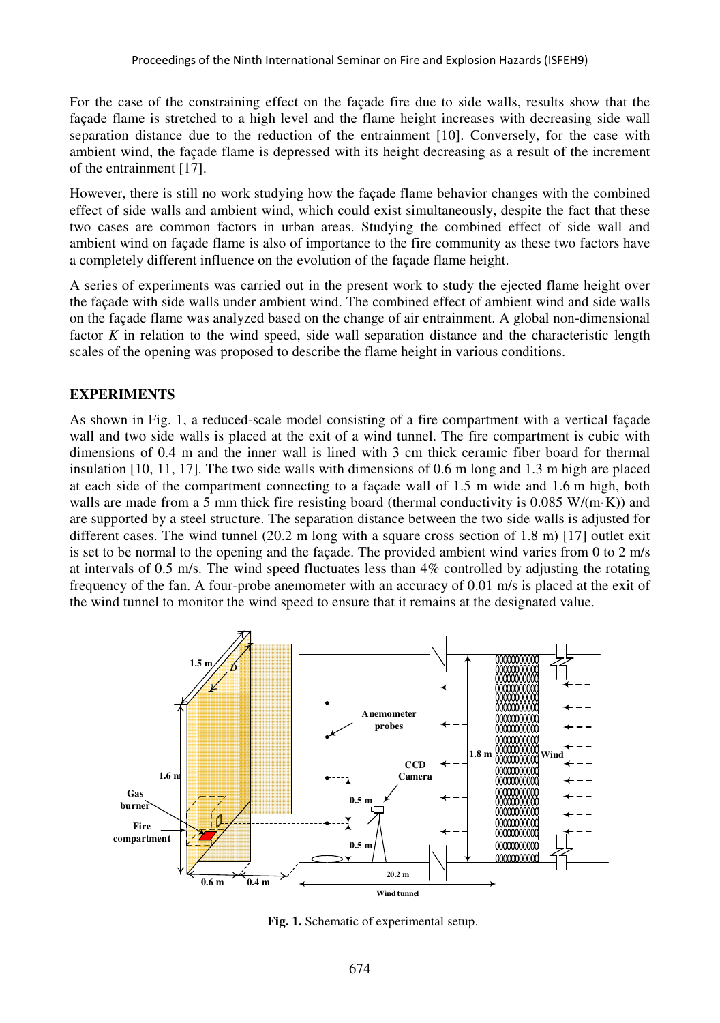For the case of the constraining effect on the façade fire due to side walls, results show that the façade flame is stretched to a high level and the flame height increases with decreasing side wall separation distance due to the reduction of the entrainment [10]. Conversely, for the case with ambient wind, the façade flame is depressed with its height decreasing as a result of the increment of the entrainment [17].

However, there is still no work studying how the façade flame behavior changes with the combined effect of side walls and ambient wind, which could exist simultaneously, despite the fact that these two cases are common factors in urban areas. Studying the combined effect of side wall and ambient wind on façade flame is also of importance to the fire community as these two factors have a completely different influence on the evolution of the façade flame height.

A series of experiments was carried out in the present work to study the ejected flame height over the façade with side walls under ambient wind. The combined effect of ambient wind and side walls on the façade flame was analyzed based on the change of air entrainment. A global non-dimensional factor *K* in relation to the wind speed, side wall separation distance and the characteristic length scales of the opening was proposed to describe the flame height in various conditions.

# **EXPERIMENTS**

As shown in Fig. 1, a reduced-scale model consisting of a fire compartment with a vertical façade wall and two side walls is placed at the exit of a wind tunnel. The fire compartment is cubic with dimensions of 0.4 m and the inner wall is lined with 3 cm thick ceramic fiber board for thermal insulation [10, 11, 17]. The two side walls with dimensions of 0.6 m long and 1.3 m high are placed at each side of the compartment connecting to a façade wall of 1.5 m wide and 1.6 m high, both walls are made from a 5 mm thick fire resisting board (thermal conductivity is  $0.085 W/(m\cdot K)$ ) and are supported by a steel structure. The separation distance between the two side walls is adjusted for different cases. The wind tunnel (20.2 m long with a square cross section of 1.8 m) [17] outlet exit is set to be normal to the opening and the façade. The provided ambient wind varies from 0 to 2 m/s at intervals of 0.5 m/s. The wind speed fluctuates less than 4% controlled by adjusting the rotating frequency of the fan. A four-probe anemometer with an accuracy of 0.01 m/s is placed at the exit of the wind tunnel to monitor the wind speed to ensure that it remains at the designated value.



**Fig. 1.** Schematic of experimental setup.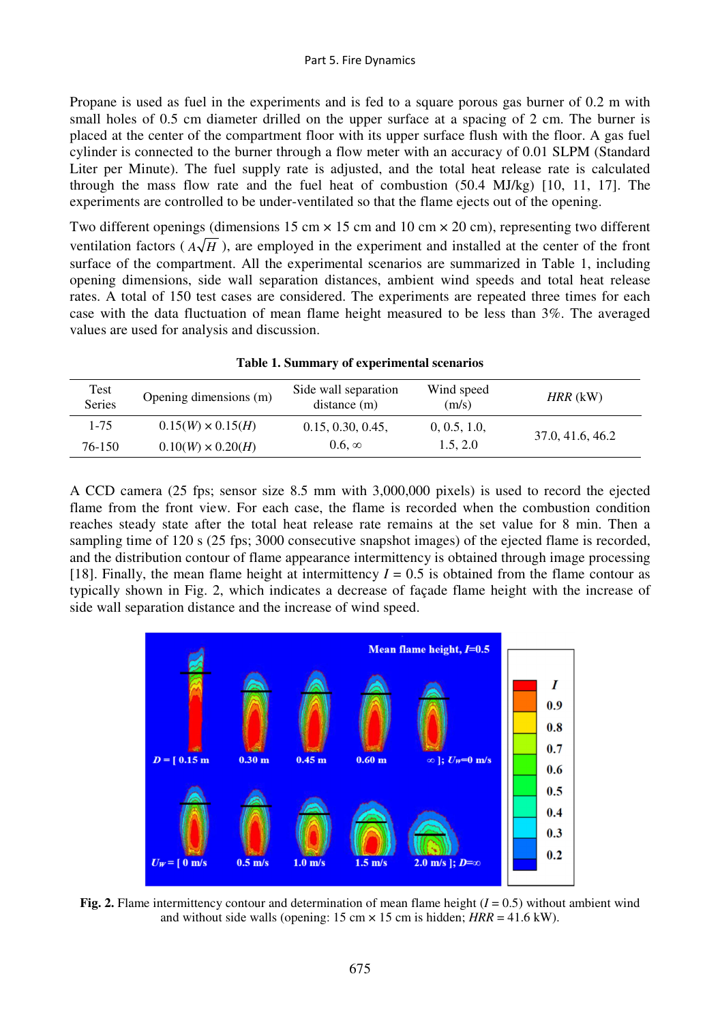Propane is used as fuel in the experiments and is fed to a square porous gas burner of 0.2 m with small holes of 0.5 cm diameter drilled on the upper surface at a spacing of 2 cm. The burner is placed at the center of the compartment floor with its upper surface flush with the floor. A gas fuel cylinder is connected to the burner through a flow meter with an accuracy of 0.01 SLPM (Standard Liter per Minute). The fuel supply rate is adjusted, and the total heat release rate is calculated through the mass flow rate and the fuel heat of combustion (50.4 MJ/kg) [10, 11, 17]. The experiments are controlled to be under-ventilated so that the flame ejects out of the opening.

Two different openings (dimensions 15 cm  $\times$  15 cm and 10 cm  $\times$  20 cm), representing two different ventilation factors ( $A\sqrt{H}$ ), are employed in the experiment and installed at the center of the front surface of the compartment. All the experimental scenarios are summarized in Table 1, including opening dimensions, side wall separation distances, ambient wind speeds and total heat release rates. A total of 150 test cases are considered. The experiments are repeated three times for each case with the data fluctuation of mean flame height measured to be less than 3%. The averaged values are used for analysis and discussion.

| Test<br><b>Series</b> | Opening dimensions (m)   | Side wall separation<br>distance(m) | Wind speed<br>(m/s) | $HRR$ (kW)       |
|-----------------------|--------------------------|-------------------------------------|---------------------|------------------|
| 1-75                  | $0.15(W) \times 0.15(H)$ | 0.15, 0.30, 0.45,                   | 0, 0.5, 1.0,        | 37.0, 41.6, 46.2 |
| 76-150                | $0.10(W) \times 0.20(H)$ | $0.6 \times$                        | 1.5, 2.0            |                  |

**Table 1. Summary of experimental scenarios** 

A CCD camera (25 fps; sensor size 8.5 mm with 3,000,000 pixels) is used to record the ejected flame from the front view. For each case, the flame is recorded when the combustion condition reaches steady state after the total heat release rate remains at the set value for 8 min. Then a sampling time of 120 s (25 fps; 3000 consecutive snapshot images) of the ejected flame is recorded, and the distribution contour of flame appearance intermittency is obtained through image processing [18]. Finally, the mean flame height at intermittency  $I = 0.5$  is obtained from the flame contour as typically shown in Fig. 2, which indicates a decrease of façade flame height with the increase of side wall separation distance and the increase of wind speed.



**Fig. 2.** Flame intermittency contour and determination of mean flame height  $(I = 0.5)$  without ambient wind and without side walls (opening:  $15 \text{ cm} \times 15 \text{ cm}$  is hidden;  $HRR = 41.6 \text{ kW}$ ).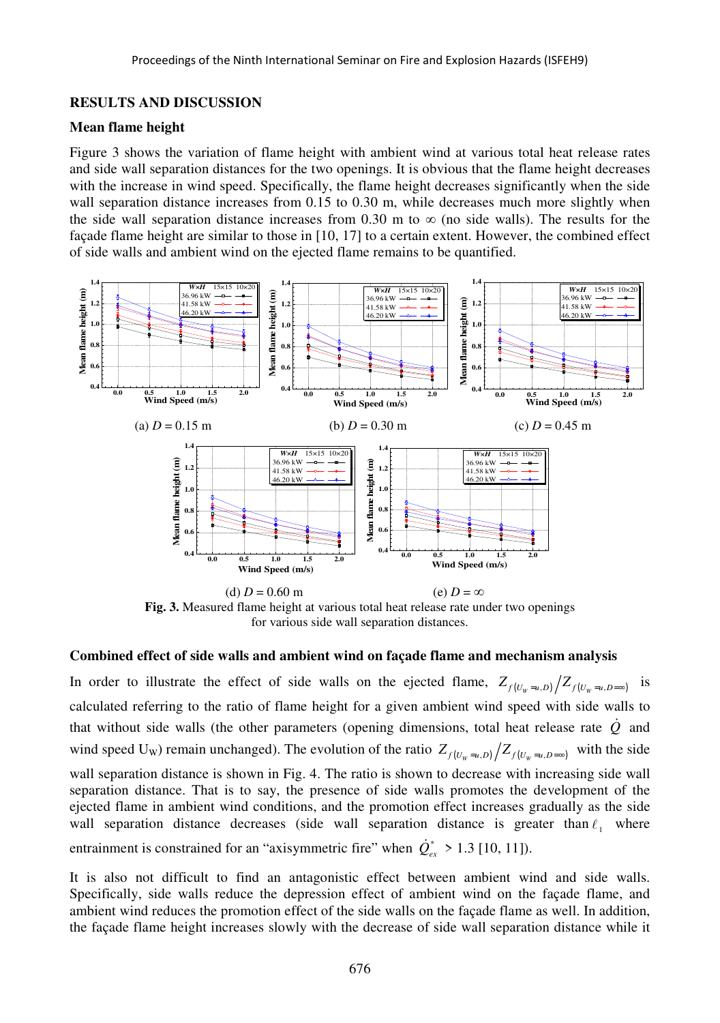## **RESULTS AND DISCUSSION**

## **Mean flame height**

Figure 3 shows the variation of flame height with ambient wind at various total heat release rates and side wall separation distances for the two openings. It is obvious that the flame height decreases with the increase in wind speed. Specifically, the flame height decreases significantly when the side wall separation distance increases from 0.15 to 0.30 m, while decreases much more slightly when the side wall separation distance increases from 0.30 m to  $\infty$  (no side walls). The results for the façade flame height are similar to those in [10, 17] to a certain extent. However, the combined effect of side walls and ambient wind on the ejected flame remains to be quantified.



**Fig. 3.** Measured flame height at various total heat release rate under two openings for various side wall separation distances.

#### **Combined effect of side walls and ambient wind on façade flame and mechanism analysis**

In order to illustrate the effect of side walls on the ejected flame,  $Z_{f(U_w=u,D)}/Z_{f(U_w=u,D=\infty)}$  is calculated referring to the ratio of flame height for a given ambient wind speed with side walls to that without side walls (the other parameters (opening dimensions, total heat release rate  $\dot{Q}$  and wind speed U<sub>W</sub>) remain unchanged). The evolution of the ratio  $Z_{f(U_w=u,D)} / Z_{f(U_w=u,D=\infty)}$  with the side wall separation distance is shown in Fig. 4. The ratio is shown to decrease with increasing side wall separation distance. That is to say, the presence of side walls promotes the development of the ejected flame in ambient wind conditions, and the promotion effect increases gradually as the side wall separation distance decreases (side wall separation distance is greater than  $l_1$  where entrainment is constrained for an "axisymmetric fire" when  $\dot{Q}_{ex}^* > 1.3$  [10, 11]).

It is also not difficult to find an antagonistic effect between ambient wind and side walls. Specifically, side walls reduce the depression effect of ambient wind on the façade flame, and ambient wind reduces the promotion effect of the side walls on the façade flame as well. In addition, the façade flame height increases slowly with the decrease of side wall separation distance while it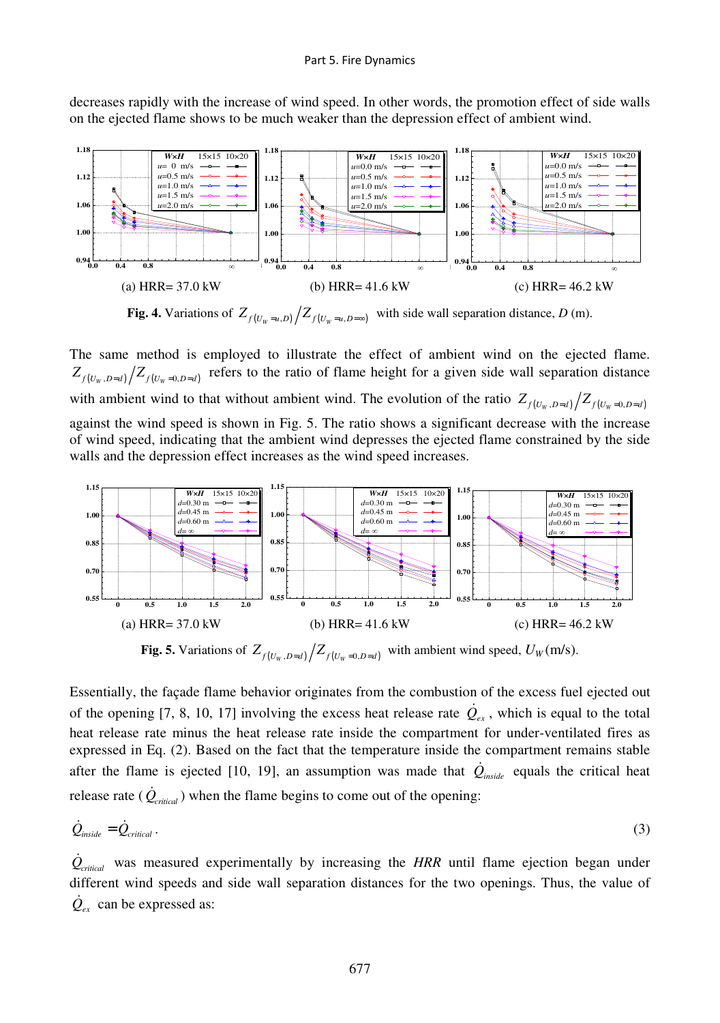decreases rapidly with the increase of wind speed. In other words, the promotion effect of side walls on the ejected flame shows to be much weaker than the depression effect of ambient wind.



**Fig. 4.** Variations of  $Z_{f(U_w=u,D)}/Z_{f(U_w=u,D=\infty)}$  with side wall separation distance, *D* (m).

The same method is employed to illustrate the effect of ambient wind on the ejected flame.  $Z_{f(U_w,D=d)} \big/ Z_{f(U_w=0,D=d)}$  refers to the ratio of flame height for a given side wall separation distance with ambient wind to that without ambient wind. The evolution of the ratio  $Z_{f(U_w,D=d)}/Z_{f(U_w=0,D=d)}$ against the wind speed is shown in Fig. 5. The ratio shows a significant decrease with the increase of wind speed, indicating that the ambient wind depresses the ejected flame constrained by the side walls and the depression effect increases as the wind speed increases.



**Fig. 5.** Variations of  $Z_{f(U_w, D=d)} / Z_{f(U_w = 0, D=d)}$  with ambient wind speed,  $U_W(m/s)$ .

Essentially, the façade flame behavior originates from the combustion of the excess fuel ejected out of the opening [7, 8, 10, 17] involving the excess heat release rate  $\dot{Q}_{ex}$ , which is equal to the total heat release rate minus the heat release rate inside the compartment for under-ventilated fires as expressed in Eq. (2). Based on the fact that the temperature inside the compartment remains stable after the flame is ejected [10, 19], an assumption was made that  $\dot{Q}_{inside}$  equals the critical heat release rate  $(\dot{Q}_{critical})$  when the flame begins to come out of the opening:

$$
\dot{Q}_{\text{inside}} = \dot{Q}_{\text{critical}} \,. \tag{3}
$$

 $\dot{Q}_{critical}$  was measured experimentally by increasing the *HRR* until flame ejection began under different wind speeds and side wall separation distances for the two openings. Thus, the value of  $\dot{Q}_{ex}$  can be expressed as: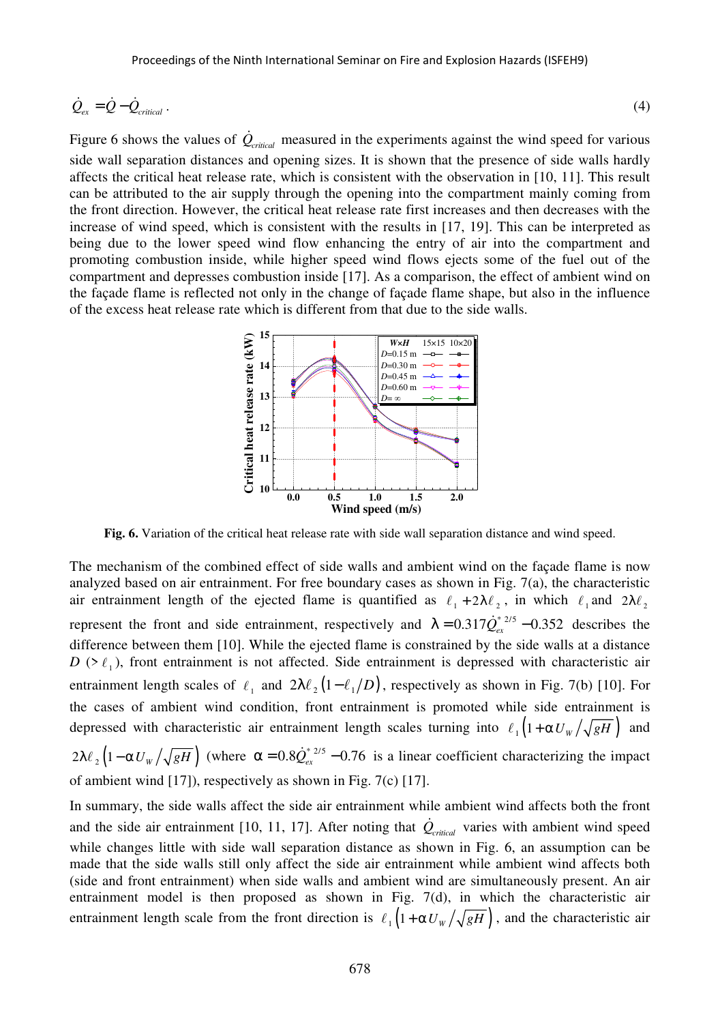$$
\dot{Q}_{ex} = \dot{Q} - \dot{Q}_{critical} \tag{4}
$$

Figure 6 shows the values of  $\dot{Q}_{critical}$  measured in the experiments against the wind speed for various side wall separation distances and opening sizes. It is shown that the presence of side walls hardly affects the critical heat release rate, which is consistent with the observation in [10, 11]. This result can be attributed to the air supply through the opening into the compartment mainly coming from the front direction. However, the critical heat release rate first increases and then decreases with the increase of wind speed, which is consistent with the results in [17, 19]. This can be interpreted as being due to the lower speed wind flow enhancing the entry of air into the compartment and promoting combustion inside, while higher speed wind flows ejects some of the fuel out of the compartment and depresses combustion inside [17]. As a comparison, the effect of ambient wind on the façade flame is reflected not only in the change of façade flame shape, but also in the influence of the excess heat release rate which is different from that due to the side walls.



**Fig. 6.** Variation of the critical heat release rate with side wall separation distance and wind speed.

The mechanism of the combined effect of side walls and ambient wind on the façade flame is now analyzed based on air entrainment. For free boundary cases as shown in Fig. 7(a), the characteristic air entrainment length of the ejected flame is quantified as  $\ell_1 + 2\lambda \ell_2$ , in which  $\ell_1$  and  $2\lambda \ell_2$ represent the front and side entrainment, respectively and  $\lambda = 0.317 \dot{Q}_{ex}^{2.2/5} - 0.352$  describes the difference between them [10]. While the ejected flame is constrained by the side walls at a distance  $D$  ( $> \ell_1$ ), front entrainment is not affected. Side entrainment is depressed with characteristic air entrainment length scales of  $\ell_1$  and  $2\lambda \ell_2(1-\ell_1/D)$ , respectively as shown in Fig. 7(b) [10]. For the cases of ambient wind condition, front entrainment is promoted while side entrainment is depressed with characteristic air entrainment length scales turning into  $\ell_1(1+\alpha U_w/\sqrt{gH})$  and  $2\lambda \ell_2 \left(1 - \alpha U_w / \sqrt{gH}\right)$  (where  $\alpha = 0.8 \dot{Q}_{ex}^{*2/5} - 0.76$  is a linear coefficient characterizing the impact of ambient wind [17]), respectively as shown in Fig. 7(c) [17].

In summary, the side walls affect the side air entrainment while ambient wind affects both the front and the side air entrainment [10, 11, 17]. After noting that  $\dot{Q}_{critical}$  varies with ambient wind speed while changes little with side wall separation distance as shown in Fig. 6, an assumption can be made that the side walls still only affect the side air entrainment while ambient wind affects both (side and front entrainment) when side walls and ambient wind are simultaneously present. An air entrainment model is then proposed as shown in Fig.  $7(d)$ , in which the characteristic air entrainment length scale from the front direction is  $\ell_1(1+\alpha U_w/\sqrt{gH})$ , and the characteristic air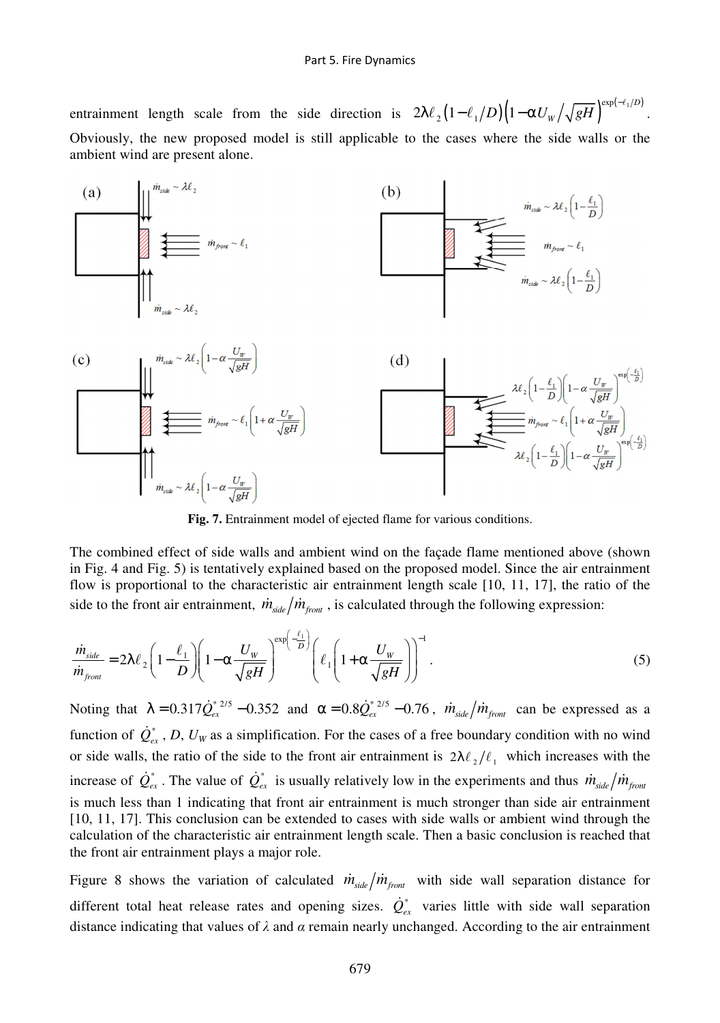entrainment length scale from the side direction is  $2\lambda \ell_2 \left( 1 - \ell_1/D \right) \left( 1 - \alpha U_w / \sqrt{gH} \right) \exp(-\ell_1/D)$ 2  $\binom{1}{2}$  $2\lambda\ell_{\,2}\left(1\!-\!\ell_{\,1}/D\right)\!\!\left(1\!-\!\alpha U_{\scriptscriptstyle W}/\!\sqrt{gH}\right)^{\!\exp\left(-\ell_{\,1}/D\right)}.\nonumber$ Obviously, the new proposed model is still applicable to the cases where the side walls or the ambient wind are present alone.



**Fig. 7.** Entrainment model of ejected flame for various conditions.

The combined effect of side walls and ambient wind on the façade flame mentioned above (shown in Fig. 4 and Fig. 5) is tentatively explained based on the proposed model. Since the air entrainment flow is proportional to the characteristic air entrainment length scale [10, 11, 17], the ratio of the side to the front air entrainment,  $\dot{m}_{side}/\dot{m}_{front}$ , is calculated through the following expression:

$$
\frac{\dot{m}_{side}}{\dot{m}_{front}} = 2\lambda \ell_2 \left(1 - \frac{\ell_1}{D}\right) \left(1 - \alpha \frac{U_w}{\sqrt{gH}}\right)^{\exp\left(-\frac{\ell_1}{D}\right)} \left(\ell_1 \left(1 + \alpha \frac{U_w}{\sqrt{gH}}\right)\right)^{-1}.\tag{5}
$$

Noting that  $\lambda = 0.317 \dot{Q}_{ex}^{*2/5} - 0.352$  and  $\alpha = 0.8 \dot{Q}_{ex}^{*2/5} - 0.76$ ,  $\dot{m}_{side}/\dot{m}_{front}$  can be expressed as a function of  $\dot{Q}_{ex}^*$ , *D*,  $U_W$  as a simplification. For the cases of a free boundary condition with no wind or side walls, the ratio of the side to the front air entrainment is  $2\lambda \ell_1/\ell_1$  which increases with the increase of  $\dot{Q}_{ex}^*$ . The value of  $\dot{Q}_{ex}^*$  is usually relatively low in the experiments and thus  $\dot{m}_{side}/\dot{m}_{front}$ is much less than 1 indicating that front air entrainment is much stronger than side air entrainment [10, 11, 17]. This conclusion can be extended to cases with side walls or ambient wind through the calculation of the characteristic air entrainment length scale. Then a basic conclusion is reached that the front air entrainment plays a major role.

Figure 8 shows the variation of calculated  $\dot{m}_{side}/\dot{m}_{front}$  with side wall separation distance for different total heat release rates and opening sizes.  $\dot{Q}^*_{ex}$  varies little with side wall separation distance indicating that values of *λ* and *α* remain nearly unchanged. According to the air entrainment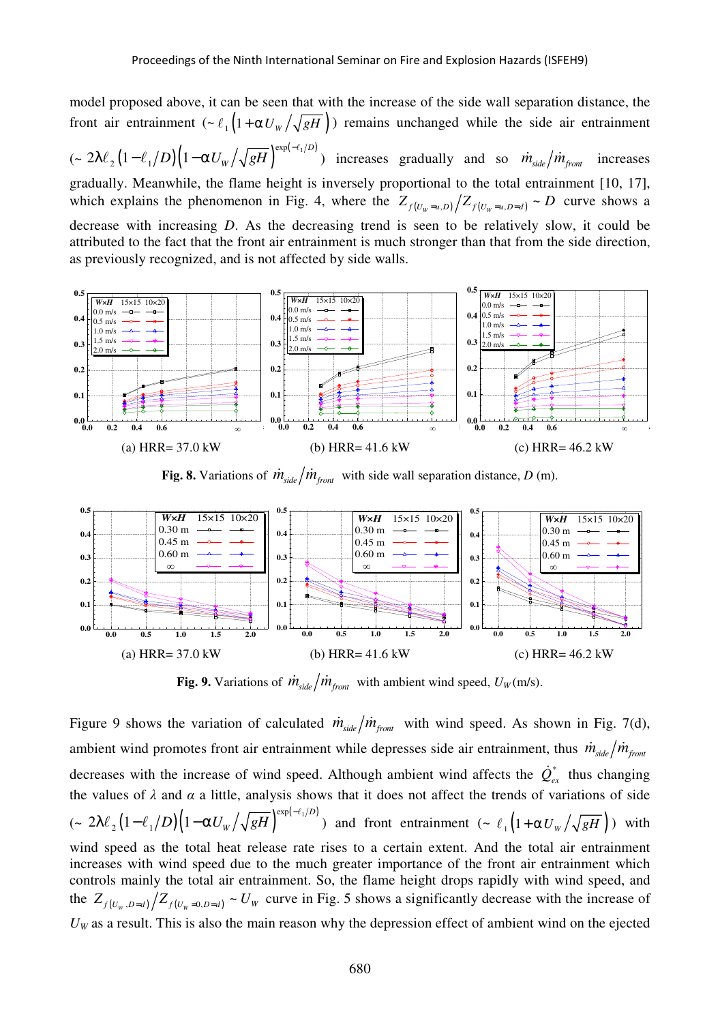model proposed above, it can be seen that with the increase of the side wall separation distance, the front air entrainment  $\left(\frac{\partial u}{\partial t}\right)(1+\alpha U_w)\sqrt{gH}$ ) remains unchanged while the side air entrainment  $(\sim 2\lambda\ell_{_2}(1\!-\!\ell_{_1}/D)\big(1\!-\!\alpha U_{\scriptscriptstyle W}/\sqrt{gH}\big)^{\exp(-\ell_{_1}/D)}$ 2 $\binom{1}{2}$  $2\lambda\ell_2\left(1-\ell_1/D\right)\left(1-\alpha U_w/\sqrt{gH}\right)^{\exp(-\ell_1/D)}$  increases gradually and so  $\dot{m}_{side}/\dot{m}_{front}$  increases gradually. Meanwhile, the flame height is inversely proportional to the total entrainment [10, 17], which explains the phenomenon in Fig. 4, where the  $Z_{f(U_w=u,D)}/Z_{f(U_w=u,D=d)} \sim D$  curve shows a decrease with increasing *D*. As the decreasing trend is seen to be relatively slow, it could be attributed to the fact that the front air entrainment is much stronger than that from the side direction, as previously recognized, and is not affected by side walls.



**Fig. 8.** Variations of  $\dot{m}_{side}/\dot{m}_{front}$  with side wall separation distance, *D* (m).



**Fig. 9.** Variations of  $\dot{m}_{side}/\dot{m}_{front}$  with ambient wind speed,  $U_W(m/s)$ .

Figure 9 shows the variation of calculated  $\dot{m}_{side}/\dot{m}_{front}$  with wind speed. As shown in Fig. 7(d), ambient wind promotes front air entrainment while depresses side air entrainment, thus  $\dot{m}_{side}/\dot{m}_{front}$ decreases with the increase of wind speed. Although ambient wind affects the  $\dot{Q}_{ex}^*$  thus changing the values of  $\lambda$  and  $\alpha$  a little, analysis shows that it does not affect the trends of variations of side  $(\sim 2\lambda\ell_{_2}(1\!-\!\ell_{_1}/D)\big(1\!-\!\alpha U_{\scriptscriptstyle W}/\sqrt{gH}\,\big)^{\exp(-\ell_{_1}/D)}$ 2 $\binom{1}{2}$  $2\lambda\ell_2\left(1-\ell_1/D\right)\left(1-\alpha U_w/\sqrt{gH}\right)^{\exp(-\ell_1/D)}$  and front entrainment  $\left(\sim \ell_1\left(1+\alpha U_w/\sqrt{gH}\right)\right)$  with wind speed as the total heat release rate rises to a certain extent. And the total air entrainment increases with wind speed due to the much greater importance of the front air entrainment which controls mainly the total air entrainment. So, the flame height drops rapidly with wind speed, and the  $Z_{f(U_w, D=d)} / Z_{f(U_w=0, D=d)} \sim U_w$  curve in Fig. 5 shows a significantly decrease with the increase of  $U_W$  as a result. This is also the main reason why the depression effect of ambient wind on the ejected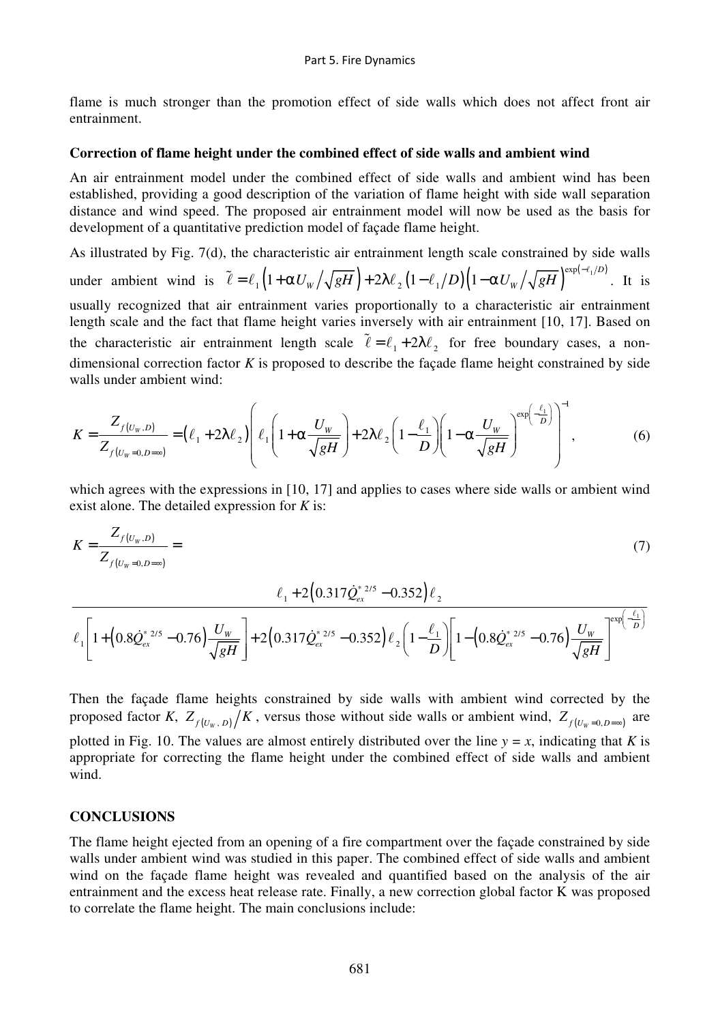flame is much stronger than the promotion effect of side walls which does not affect front air entrainment.

#### **Correction of flame height under the combined effect of side walls and ambient wind**

An air entrainment model under the combined effect of side walls and ambient wind has been established, providing a good description of the variation of flame height with side wall separation distance and wind speed. The proposed air entrainment model will now be used as the basis for development of a quantitative prediction model of façade flame height.

As illustrated by Fig. 7(d), the characteristic air entrainment length scale constrained by side walls under ambient wind is  $\tilde{\ell} = \ell_1 \left( 1 + \alpha U_w / \sqrt{gH} \right) + 2 \lambda \ell_2 \left( 1 - \ell_1/D \right) \left( 1 - \alpha U_w / \sqrt{gH} \right) \exp(-\ell_1/D)$  $1^{1 + \alpha v} W / \sqrt{8^{11}}$   $1^{2\alpha v}$ p  $\tilde{\ell} = \ell_1 \left(1 + \alpha U_w / \sqrt{gH}\right) + 2\lambda \ell_2 \left(1 - \ell_1/D\right) \left(1 - \alpha U_w / \sqrt{gH}\right)^{\exp(-\ell_1/D)}.$  It is usually recognized that air entrainment varies proportionally to a characteristic air entrainment length scale and the fact that flame height varies inversely with air entrainment [10, 17]. Based on the characteristic air entrainment length scale  $\tilde{\ell} = \ell_1 + 2\lambda \ell_2$  for free boundary cases, a nondimensional correction factor *K* is proposed to describe the façade flame height constrained by side walls under ambient wind:

$$
K = \frac{Z_{f(U_W, D)}}{Z_{f(U_W = 0, D = \infty)}} = (\ell_1 + 2\lambda \ell_2) \left( \ell_1 \left( 1 + \alpha \frac{U_W}{\sqrt{gH}} \right) + 2\lambda \ell_2 \left( 1 - \frac{\ell_1}{D} \right) \left( 1 - \alpha \frac{U_W}{\sqrt{gH}} \right)^{\exp\left(-\frac{\ell_1}{D}\right)} \right)^{-1},
$$
(6)

which agrees with the expressions in [10, 17] and applies to cases where side walls or ambient wind exist alone. The detailed expression for *K* is:

$$
K = \frac{Z_{f(U_W, D)}}{Z_{f(U_W = 0, D = \infty)}} = \tag{7}
$$

$$
\frac{\ell_1 + 2(0.317\dot{Q}_{ex}^{*~2/5} - 0.352)\ell_2}{\ell_1 \left[1 + (0.8\dot{Q}_{ex}^{*~2/5} - 0.76)\frac{U_w}{\sqrt{gH}}\right] + 2(0.317\dot{Q}_{ex}^{*~2/5} - 0.352)\ell_2\left(1 - \frac{\ell_1}{D}\right)\left[1 - (0.8\dot{Q}_{ex}^{*~2/5} - 0.76)\frac{U_w}{\sqrt{gH}}\right]^{exp\left(-\frac{\ell_1}{D}\right)}}
$$

Then the façade flame heights constrained by side walls with ambient wind corrected by the proposed factor *K*,  $Z_{f(U_w, D)}/K$ , versus those without side walls or ambient wind,  $Z_{f(U_w=0, D=\infty)}$  are plotted in Fig. 10. The values are almost entirely distributed over the line  $y = x$ , indicating that *K* is appropriate for correcting the flame height under the combined effect of side walls and ambient wind.

# **CONCLUSIONS**

The flame height ejected from an opening of a fire compartment over the façade constrained by side walls under ambient wind was studied in this paper. The combined effect of side walls and ambient wind on the façade flame height was revealed and quantified based on the analysis of the air entrainment and the excess heat release rate. Finally, a new correction global factor K was proposed to correlate the flame height. The main conclusions include: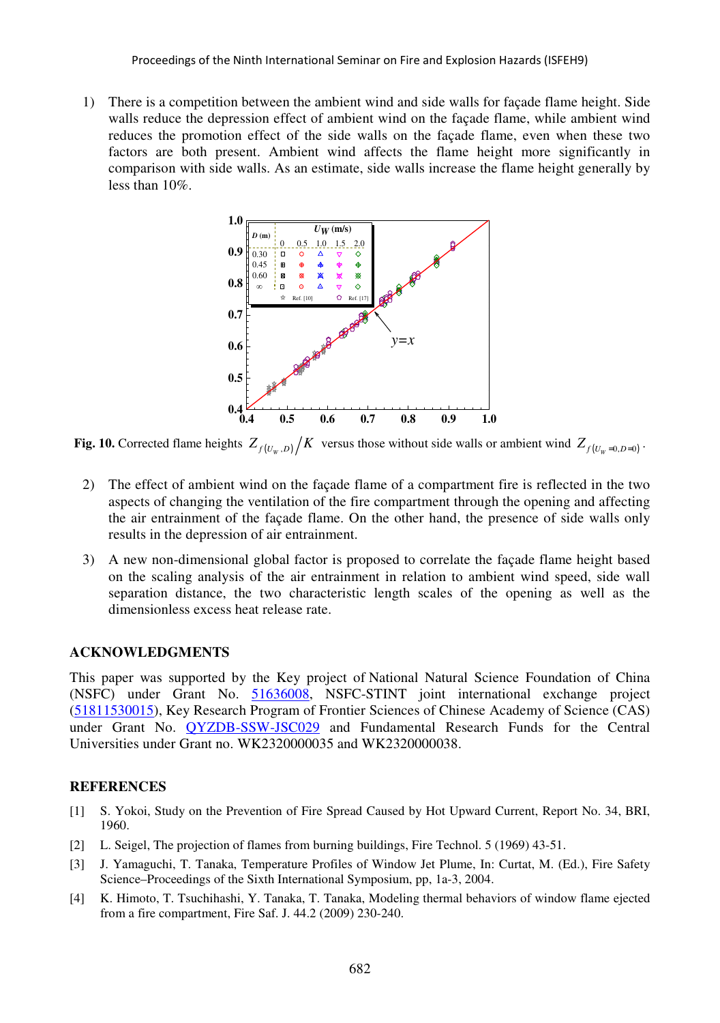1) There is a competition between the ambient wind and side walls for façade flame height. Side walls reduce the depression effect of ambient wind on the façade flame, while ambient wind reduces the promotion effect of the side walls on the façade flame, even when these two factors are both present. Ambient wind affects the flame height more significantly in comparison with side walls. As an estimate, side walls increase the flame height generally by less than 10%.



**Fig. 10.** Corrected flame heights  $Z_{f(U_w, D)} / K$  versus those without side walls or ambient wind  $Z_{f(U_w = 0, D = 0)}$ .

- 2) The effect of ambient wind on the façade flame of a compartment fire is reflected in the two aspects of changing the ventilation of the fire compartment through the opening and affecting the air entrainment of the façade flame. On the other hand, the presence of side walls only results in the depression of air entrainment.
- 3) A new non-dimensional global factor is proposed to correlate the façade flame height based on the scaling analysis of the air entrainment in relation to ambient wind speed, side wall separation distance, the two characteristic length scales of the opening as well as the dimensionless excess heat release rate.

#### **ACKNOWLEDGMENTS**

This paper was supported by the Key project of National Natural Science Foundation of China (NSFC) under Grant No. 51636008, NSFC-STINT joint international exchange project (51811530015), Key Research Program of Frontier Sciences of Chinese Academy of Science (CAS) under Grant No. **QYZDB-SSW-JSC029** and Fundamental Research Funds for the Central Universities under Grant no. WK2320000035 and WK2320000038.

## **REFERENCES**

- [1] S. Yokoi, Study on the Prevention of Fire Spread Caused by Hot Upward Current, Report No. 34, BRI, 1960.
- [2] L. Seigel, The projection of flames from burning buildings, Fire Technol. 5 (1969) 43-51.
- [3] J. Yamaguchi, T. Tanaka, Temperature Profiles of Window Jet Plume, In: Curtat, M. (Ed.), Fire Safety Science–Proceedings of the Sixth International Symposium, pp, 1a-3, 2004.
- [4] K. Himoto, T. Tsuchihashi, Y. Tanaka, T. Tanaka, Modeling thermal behaviors of window flame ejected from a fire compartment, Fire Saf. J. 44.2 (2009) 230-240.